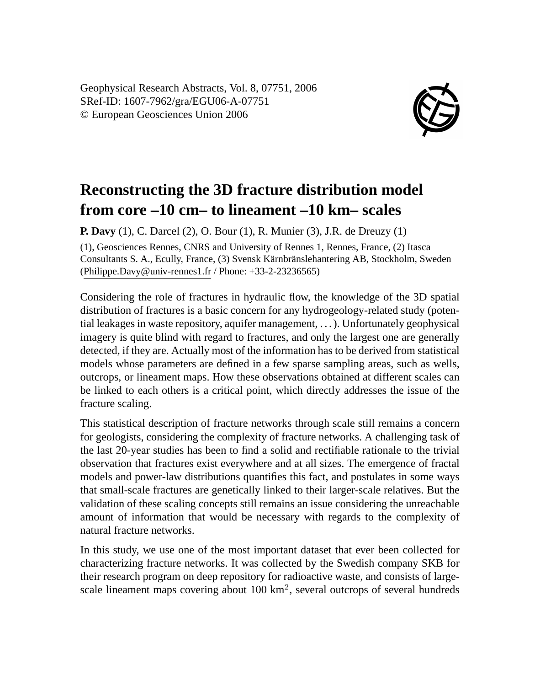Geophysical Research Abstracts, Vol. 8, 07751, 2006 SRef-ID: 1607-7962/gra/EGU06-A-07751 © European Geosciences Union 2006



## **Reconstructing the 3D fracture distribution model from core –10 cm– to lineament –10 km– scales**

**P. Davy** (1), C. Darcel (2), O. Bour (1), R. Munier (3), J.R. de Dreuzy (1)

(1), Geosciences Rennes, CNRS and University of Rennes 1, Rennes, France, (2) Itasca Consultants S. A., Ecully, France, (3) Svensk Kärnbränslehantering AB, Stockholm, Sweden (Philippe.Davy@univ-rennes1.fr / Phone: +33-2-23236565)

Considering the role of fractures in hydraulic flow, the knowledge of the 3D spatial distribution of fractures is a basic concern for any hydrogeology-related study (potential leakages in waste repository, aquifer management, . . . ). Unfortunately geophysical imagery is quite blind with regard to fractures, and only the largest one are generally detected, if they are. Actually most of the information has to be derived from statistical models whose parameters are defined in a few sparse sampling areas, such as wells, outcrops, or lineament maps. How these observations obtained at different scales can be linked to each others is a critical point, which directly addresses the issue of the fracture scaling.

This statistical description of fracture networks through scale still remains a concern for geologists, considering the complexity of fracture networks. A challenging task of the last 20-year studies has been to find a solid and rectifiable rationale to the trivial observation that fractures exist everywhere and at all sizes. The emergence of fractal models and power-law distributions quantifies this fact, and postulates in some ways that small-scale fractures are genetically linked to their larger-scale relatives. But the validation of these scaling concepts still remains an issue considering the unreachable amount of information that would be necessary with regards to the complexity of natural fracture networks.

In this study, we use one of the most important dataset that ever been collected for characterizing fracture networks. It was collected by the Swedish company SKB for their research program on deep repository for radioactive waste, and consists of largescale lineament maps covering about  $100 \text{ km}^2$ , several outcrops of several hundreds